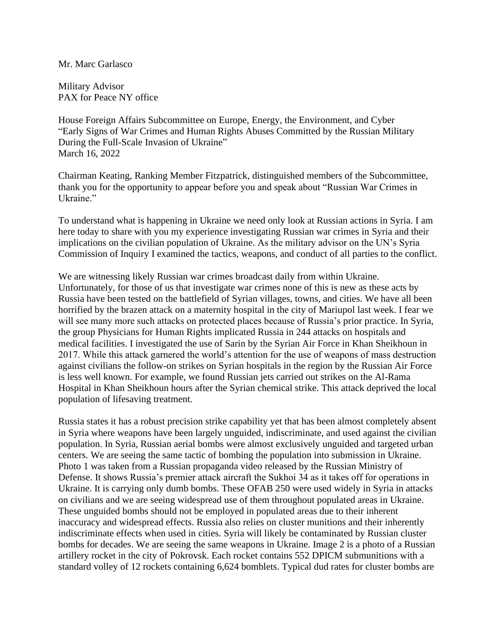## Mr. Marc Garlasco

Military Advisor PAX for Peace NY office

House Foreign Affairs Subcommittee on Europe, Energy, the Environment, and Cyber "Early Signs of War Crimes and Human Rights Abuses Committed by the Russian Military During the Full-Scale Invasion of Ukraine" March 16, 2022

Chairman Keating, Ranking Member Fitzpatrick, distinguished members of the Subcommittee, thank you for the opportunity to appear before you and speak about "Russian War Crimes in Ukraine."

To understand what is happening in Ukraine we need only look at Russian actions in Syria. I am here today to share with you my experience investigating Russian war crimes in Syria and their implications on the civilian population of Ukraine. As the military advisor on the UN's Syria Commission of Inquiry I examined the tactics, weapons, and conduct of all parties to the conflict.

We are witnessing likely Russian war crimes broadcast daily from within Ukraine. Unfortunately, for those of us that investigate war crimes none of this is new as these acts by Russia have been tested on the battlefield of Syrian villages, towns, and cities. We have all been horrified by the brazen attack on a maternity hospital in the city of Mariupol last week. I fear we will see many more such attacks on protected places because of Russia's prior practice. In Syria, the group Physicians for Human Rights implicated Russia in 244 attacks on hospitals and medical facilities. I investigated the use of Sarin by the Syrian Air Force in Khan Sheikhoun in 2017. While this attack garnered the world's attention for the use of weapons of mass destruction against civilians the follow-on strikes on Syrian hospitals in the region by the Russian Air Force is less well known. For example, we found Russian jets carried out strikes on the Al-Rama Hospital in Khan Sheikhoun hours after the Syrian chemical strike. This attack deprived the local population of lifesaving treatment.

Russia states it has a robust precision strike capability yet that has been almost completely absent in Syria where weapons have been largely unguided, indiscriminate, and used against the civilian population. In Syria, Russian aerial bombs were almost exclusively unguided and targeted urban centers. We are seeing the same tactic of bombing the population into submission in Ukraine. Photo 1 was taken from a Russian propaganda video released by the Russian Ministry of Defense. It shows Russia's premier attack aircraft the Sukhoi 34 as it takes off for operations in Ukraine. It is carrying only dumb bombs. These OFAB 250 were used widely in Syria in attacks on civilians and we are seeing widespread use of them throughout populated areas in Ukraine. These unguided bombs should not be employed in populated areas due to their inherent inaccuracy and widespread effects. Russia also relies on cluster munitions and their inherently indiscriminate effects when used in cities. Syria will likely be contaminated by Russian cluster bombs for decades. We are seeing the same weapons in Ukraine. Image 2 is a photo of a Russian artillery rocket in the city of Pokrovsk. Each rocket contains 552 DPICM submunitions with a standard volley of 12 rockets containing 6,624 bomblets. Typical dud rates for cluster bombs are